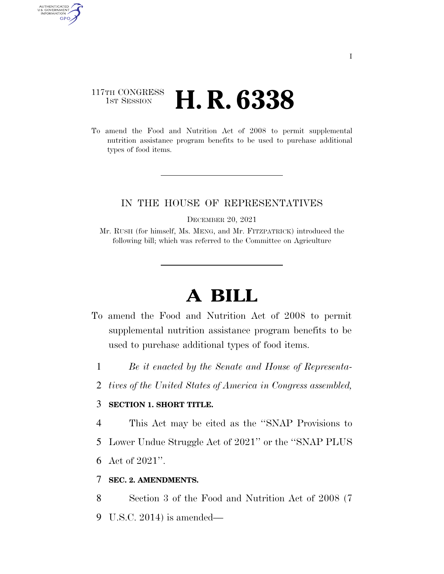## 117TH CONGRESS **1ST SESSION <b>H. R. 6338**

AUTHENTICATED<br>U.S. GOVERNMENT<br>INFORMATION GPO

> To amend the Food and Nutrition Act of 2008 to permit supplemental nutrition assistance program benefits to be used to purchase additional types of food items.

### IN THE HOUSE OF REPRESENTATIVES

DECEMBER 20, 2021

Mr. RUSH (for himself, Ms. MENG, and Mr. FITZPATRICK) introduced the following bill; which was referred to the Committee on Agriculture

# **A BILL**

- To amend the Food and Nutrition Act of 2008 to permit supplemental nutrition assistance program benefits to be used to purchase additional types of food items.
	- 1 *Be it enacted by the Senate and House of Representa-*
	- 2 *tives of the United States of America in Congress assembled,*

### 3 **SECTION 1. SHORT TITLE.**

4 This Act may be cited as the ''SNAP Provisions to

- 5 Lower Undue Struggle Act of 2021'' or the ''SNAP PLUS
- 6 Act of 2021''.

#### 7 **SEC. 2. AMENDMENTS.**

8 Section 3 of the Food and Nutrition Act of 2008 (7

9 U.S.C. 2014) is amended—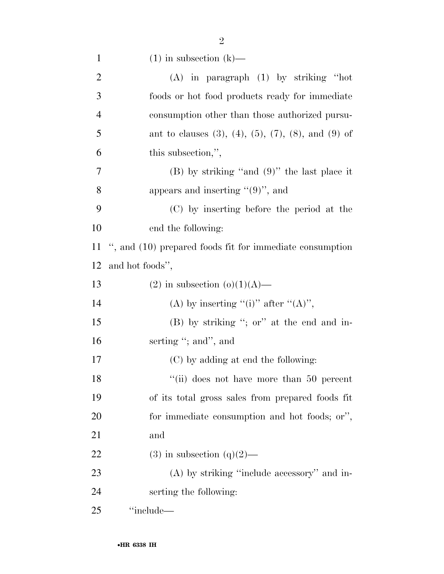| $\mathbf{1}$   | $(1)$ in subsection $(k)$ —                                         |
|----------------|---------------------------------------------------------------------|
| $\overline{2}$ | $(A)$ in paragraph $(1)$ by striking "hot                           |
| 3              | foods or hot food products ready for immediate                      |
| $\overline{4}$ | consumption other than those authorized pursu-                      |
| 5              | ant to clauses $(3)$ , $(4)$ , $(5)$ , $(7)$ , $(8)$ , and $(9)$ of |
| 6              | this subsection,",                                                  |
| 7              | $(B)$ by striking "and $(9)$ " the last place it                    |
| 8              | appears and inserting $\cdot\cdot(9)$ ", and                        |
| 9              | (C) by inserting before the period at the                           |
| 10             | end the following:                                                  |
| 11             | ", and (10) prepared foods fit for immediate consumption            |
| 12             | and hot foods",                                                     |
| 13             | $(2)$ in subsection $(o)(1)(A)$ —                                   |
| 14             | (A) by inserting "(i)" after "(A)",                                 |
| 15             | $(B)$ by striking "; or" at the end and in-                         |
| 16             | serting "; and", and                                                |
| 17             | (C) by adding at end the following:                                 |
| 18             | "(ii) does not have more than 50 percent                            |
| 19             | of its total gross sales from prepared foods fit                    |
| 20             | for immediate consumption and hot foods; or",                       |
| 21             | and                                                                 |
| 22             | $(3)$ in subsection $(q)(2)$ —                                      |
| 23             | $(A)$ by striking "include accessory" and in-                       |
| 24             | serting the following:                                              |
| 25             | "include—                                                           |